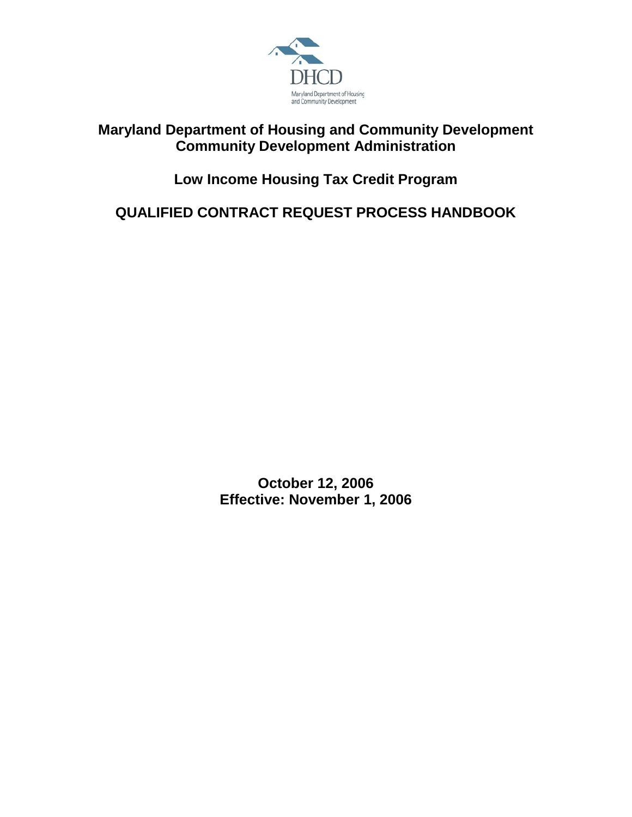

## **Maryland Department of Housing and Community Development Community Development Administration**

## **Low Income Housing Tax Credit Program**

**QUALIFIED CONTRACT REQUEST PROCESS HANDBOOK**

**October 12, 2006 Effective: November 1, 2006**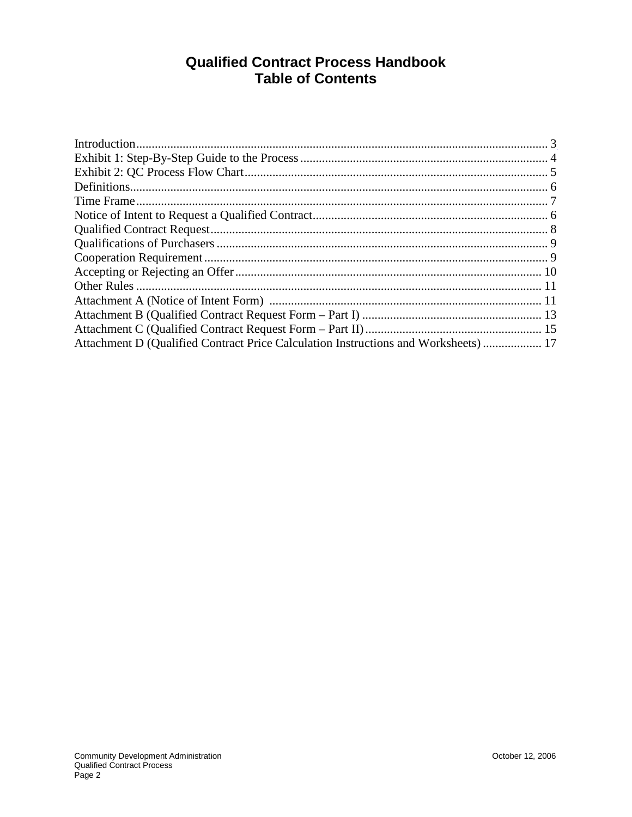## **Qualified Contract Process Handbook Table of Contents**

| Attachment D (Qualified Contract Price Calculation Instructions and Worksheets)  17 |  |
|-------------------------------------------------------------------------------------|--|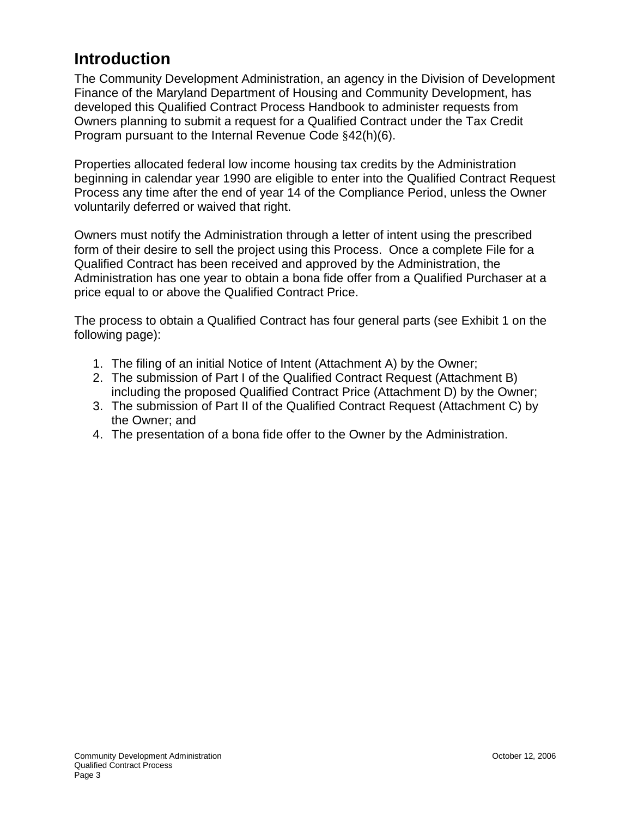## <span id="page-2-0"></span>**Introduction**

The Community Development Administration, an agency in the Division of Development Finance of the Maryland Department of Housing and Community Development, has developed this Qualified Contract Process Handbook to administer requests from Owners planning to submit a request for a Qualified Contract under the Tax Credit Program pursuant to the Internal Revenue Code §42(h)(6).

Properties allocated federal low income housing tax credits by the Administration beginning in calendar year 1990 are eligible to enter into the Qualified Contract Request Process any time after the end of year 14 of the Compliance Period, unless the Owner voluntarily deferred or waived that right.

Owners must notify the Administration through a letter of intent using the prescribed form of their desire to sell the project using this Process. Once a complete File for a Qualified Contract has been received and approved by the Administration, the Administration has one year to obtain a bona fide offer from a Qualified Purchaser at a price equal to or above the Qualified Contract Price.

The process to obtain a Qualified Contract has four general parts (see Exhibit 1 on the following page):

- 1. The filing of an initial Notice of Intent (Attachment A) by the Owner;
- 2. The submission of Part I of the Qualified Contract Request (Attachment B) including the proposed Qualified Contract Price (Attachment D) by the Owner;
- 3. The submission of Part II of the Qualified Contract Request (Attachment C) by the Owner; and
- 4. The presentation of a bona fide offer to the Owner by the Administration.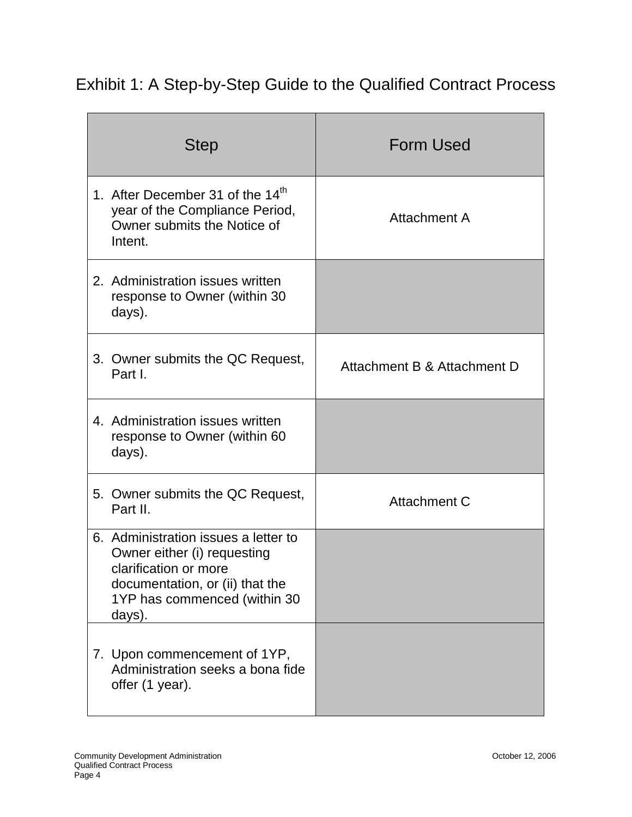# Exhibit 1: A Step-by-Step Guide to the Qualified Contract Process

| <b>Step</b>                                                                                                                                                               | <b>Form Used</b>            |
|---------------------------------------------------------------------------------------------------------------------------------------------------------------------------|-----------------------------|
| 1. After December 31 of the 14 <sup>th</sup><br>year of the Compliance Period,<br>Owner submits the Notice of<br>Intent.                                                  | Attachment A                |
| 2. Administration issues written<br>response to Owner (within 30<br>days).                                                                                                |                             |
| 3. Owner submits the QC Request,<br>Part I.                                                                                                                               | Attachment B & Attachment D |
| 4. Administration issues written<br>response to Owner (within 60<br>days).                                                                                                |                             |
| 5. Owner submits the QC Request,<br>Part II.                                                                                                                              | Attachment C                |
| 6. Administration issues a letter to<br>Owner either (i) requesting<br>clarification or more<br>documentation, or (ii) that the<br>1YP has commenced (within 30<br>days). |                             |
| 7. Upon commencement of 1YP,<br>Administration seeks a bona fide<br>offer (1 year).                                                                                       |                             |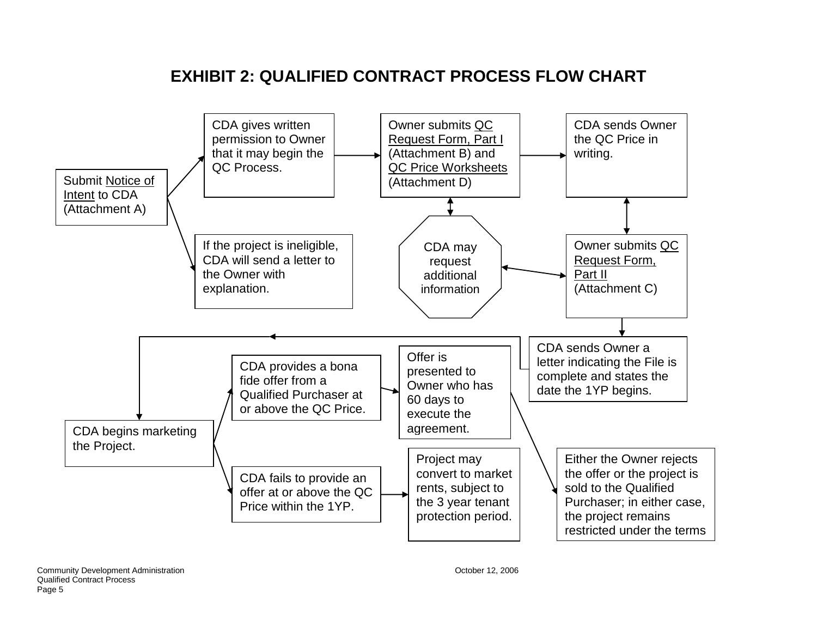# **EXHIBIT 2: QUALIFIED CONTRACT PROCESS FLOW CHART**

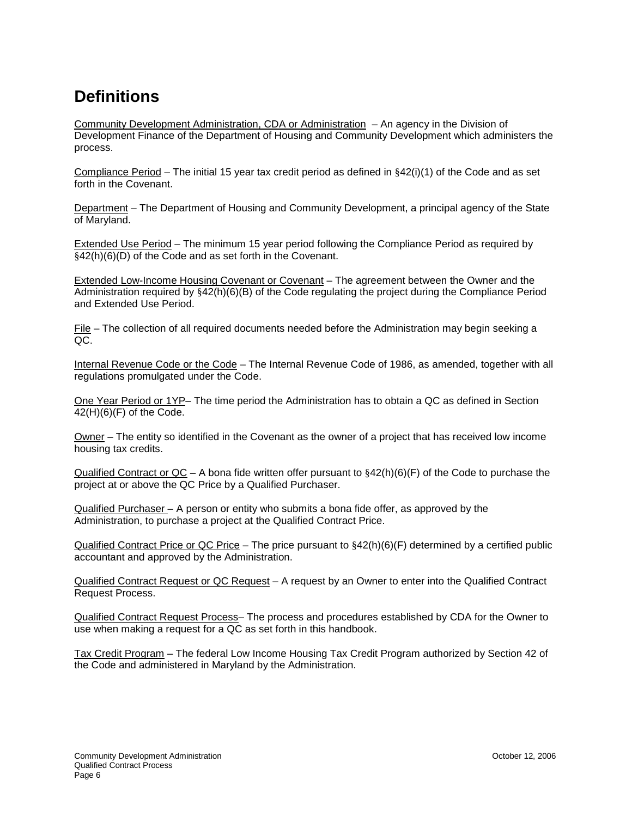# <span id="page-5-0"></span>**Definitions**

Community Development Administration, CDA or Administration – An agency in the Division of Development Finance of the Department of Housing and Community Development which administers the process.

Compliance Period – The initial 15 year tax credit period as defined in  $§42(i)(1)$  of the Code and as set forth in the Covenant.

Department – The Department of Housing and Community Development, a principal agency of the State of Maryland.

Extended Use Period – The minimum 15 year period following the Compliance Period as required by §42(h)(6)(D) of the Code and as set forth in the Covenant.

Extended Low-Income Housing Covenant or Covenant – The agreement between the Owner and the Administration required by §42(h)(6)(B) of the Code regulating the project during the Compliance Period and Extended Use Period.

File – The collection of all required documents needed before the Administration may begin seeking a QC.

Internal Revenue Code or the Code – The Internal Revenue Code of 1986, as amended, together with all regulations promulgated under the Code.

One Year Period or 1YP– The time period the Administration has to obtain a QC as defined in Section  $42(H)(6)(F)$  of the Code.

Owner – The entity so identified in the Covenant as the owner of a project that has received low income housing tax credits.

Qualified Contract or QC – A bona fide written offer pursuant to  $§42(h)(6)(F)$  of the Code to purchase the project at or above the QC Price by a Qualified Purchaser.

Qualified Purchaser – A person or entity who submits a bona fide offer, as approved by the Administration, to purchase a project at the Qualified Contract Price.

Qualified Contract Price or QC Price – The price pursuant to §42(h)(6)(F) determined by a certified public accountant and approved by the Administration.

Qualified Contract Request or QC Request – A request by an Owner to enter into the Qualified Contract Request Process.

Qualified Contract Request Process– The process and procedures established by CDA for the Owner to use when making a request for a QC as set forth in this handbook.

Tax Credit Program – The federal Low Income Housing Tax Credit Program authorized by Section 42 of the Code and administered in Maryland by the Administration.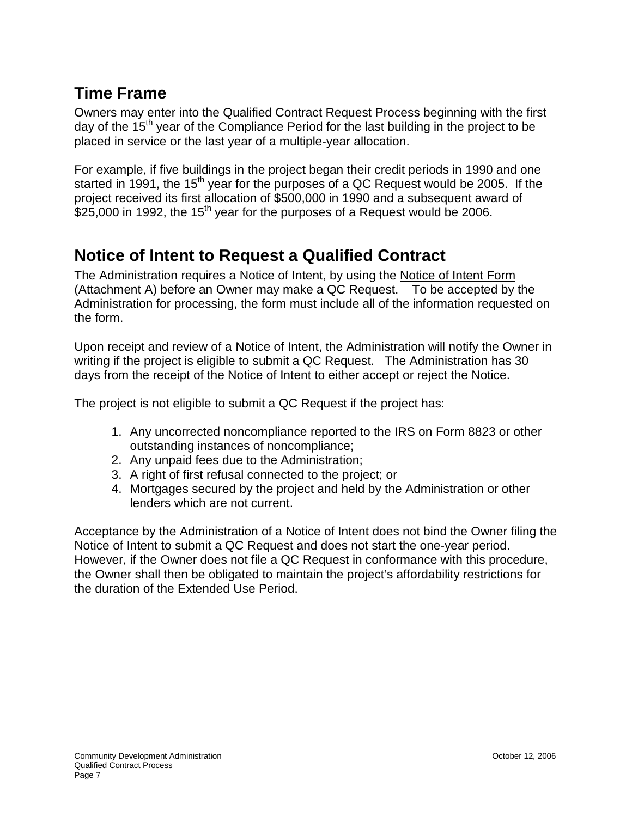## **Time Frame**

Owners may enter into the Qualified Contract Request Process beginning with the first day of the  $15<sup>th</sup>$  year of the Compliance Period for the last building in the project to be placed in service or the last year of a multiple-year allocation.

For example, if five buildings in the project began their credit periods in 1990 and one started in 1991, the 15<sup>th</sup> year for the purposes of a QC Request would be 2005. If the project received its first allocation of \$500,000 in 1990 and a subsequent award of \$25,000 in 1992, the 15<sup>th</sup> year for the purposes of a Request would be 2006.

## <span id="page-6-0"></span>**Notice of Intent to Request a Qualified Contract**

The Administration requires a Notice of Intent, by using the Notice of Intent Form (Attachment A) before an Owner may make a QC Request. To be accepted by the Administration for processing, the form must include all of the information requested on the form.

Upon receipt and review of a Notice of Intent, the Administration will notify the Owner in writing if the project is eligible to submit a QC Request. The Administration has 30 days from the receipt of the Notice of Intent to either accept or reject the Notice.

The project is not eligible to submit a QC Request if the project has:

- 1. Any uncorrected noncompliance reported to the IRS on Form 8823 or other outstanding instances of noncompliance;
- 2. Any unpaid fees due to the Administration;
- 3. A right of first refusal connected to the project; or
- 4. Mortgages secured by the project and held by the Administration or other lenders which are not current.

Acceptance by the Administration of a Notice of Intent does not bind the Owner filing the Notice of Intent to submit a QC Request and does not start the one-year period. However, if the Owner does not file a QC Request in conformance with this procedure, the Owner shall then be obligated to maintain the project's affordability restrictions for the duration of the Extended Use Period.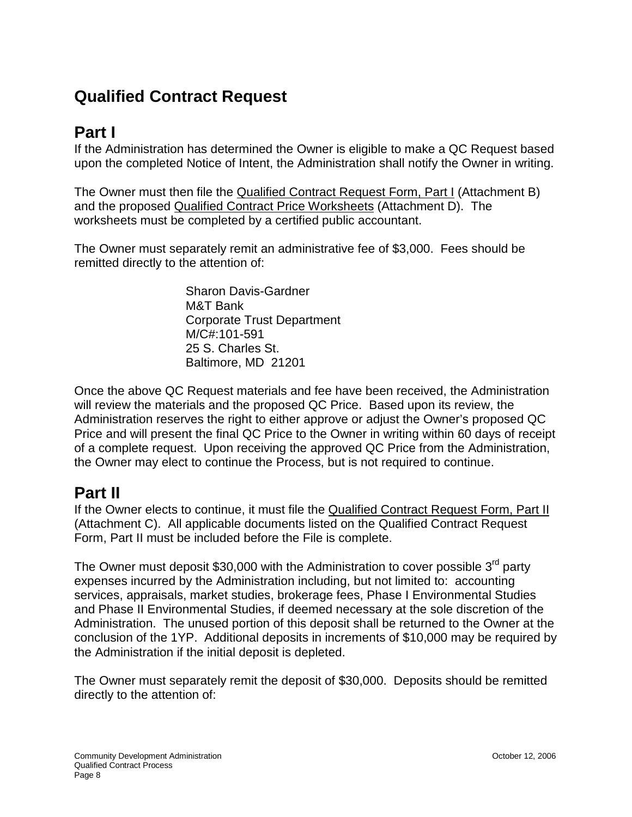# <span id="page-7-0"></span>**Qualified Contract Request**

## **Part I**

If the Administration has determined the Owner is eligible to make a QC Request based upon the completed Notice of Intent, the Administration shall notify the Owner in writing.

The Owner must then file the Qualified Contract Request Form, Part I (Attachment B) and the proposed Qualified Contract Price Worksheets (Attachment D). The worksheets must be completed by a certified public accountant.

The Owner must separately remit an administrative fee of \$3,000. Fees should be remitted directly to the attention of:

> Sharon Davis-Gardner M&T Bank Corporate Trust Department M/C#:101-591 25 S. Charles St. Baltimore, MD 21201

Once the above QC Request materials and fee have been received, the Administration will review the materials and the proposed QC Price. Based upon its review, the Administration reserves the right to either approve or adjust the Owner's proposed QC Price and will present the final QC Price to the Owner in writing within 60 days of receipt of a complete request. Upon receiving the approved QC Price from the Administration, the Owner may elect to continue the Process, but is not required to continue.

## **Part II**

If the Owner elects to continue, it must file the Qualified Contract Request Form, Part II (Attachment C). All applicable documents listed on the Qualified Contract Request Form, Part II must be included before the File is complete.

The Owner must deposit  $$30,000$  with the Administration to cover possible  $3<sup>rd</sup>$  party expenses incurred by the Administration including, but not limited to: accounting services, appraisals, market studies, brokerage fees, Phase I Environmental Studies and Phase II Environmental Studies, if deemed necessary at the sole discretion of the Administration. The unused portion of this deposit shall be returned to the Owner at the conclusion of the 1YP. Additional deposits in increments of \$10,000 may be required by the Administration if the initial deposit is depleted.

The Owner must separately remit the deposit of \$30,000. Deposits should be remitted directly to the attention of: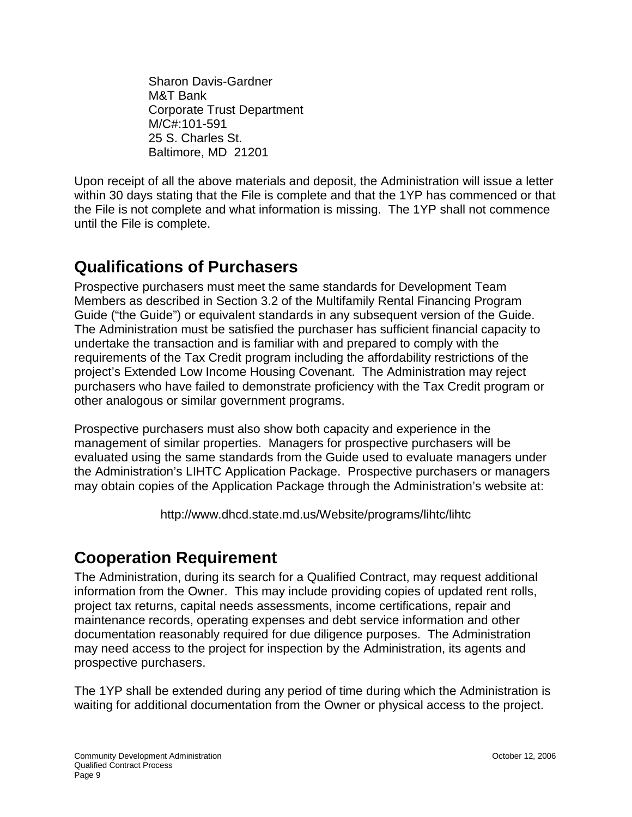Sharon Davis-Gardner M&T Bank Corporate Trust Department M/C#:101-591 25 S. Charles St. Baltimore, MD 21201

Upon receipt of all the above materials and deposit, the Administration will issue a letter within 30 days stating that the File is complete and that the 1YP has commenced or that the File is not complete and what information is missing. The 1YP shall not commence until the File is complete.

# <span id="page-8-0"></span>**Qualifications of Purchasers**

Prospective purchasers must meet the same standards for Development Team Members as described in Section 3.2 of the Multifamily Rental Financing Program Guide ("the Guide") or equivalent standards in any subsequent version of the Guide. The Administration must be satisfied the purchaser has sufficient financial capacity to undertake the transaction and is familiar with and prepared to comply with the requirements of the Tax Credit program including the affordability restrictions of the project's Extended Low Income Housing Covenant. The Administration may reject purchasers who have failed to demonstrate proficiency with the Tax Credit program or other analogous or similar government programs.

Prospective purchasers must also show both capacity and experience in the management of similar properties. Managers for prospective purchasers will be evaluated using the same standards from the Guide used to evaluate managers under the Administration's LIHTC Application Package. Prospective purchasers or managers may obtain copies of the Application Package through the Administration's website at:

http://www.dhcd.state.md.us/Website/programs/lihtc/lihtc

## <span id="page-8-1"></span>**Cooperation Requirement**

The Administration, during its search for a Qualified Contract, may request additional information from the Owner. This may include providing copies of updated rent rolls, project tax returns, capital needs assessments, income certifications, repair and maintenance records, operating expenses and debt service information and other documentation reasonably required for due diligence purposes. The Administration may need access to the project for inspection by the Administration, its agents and prospective purchasers.

The 1YP shall be extended during any period of time during which the Administration is waiting for additional documentation from the Owner or physical access to the project.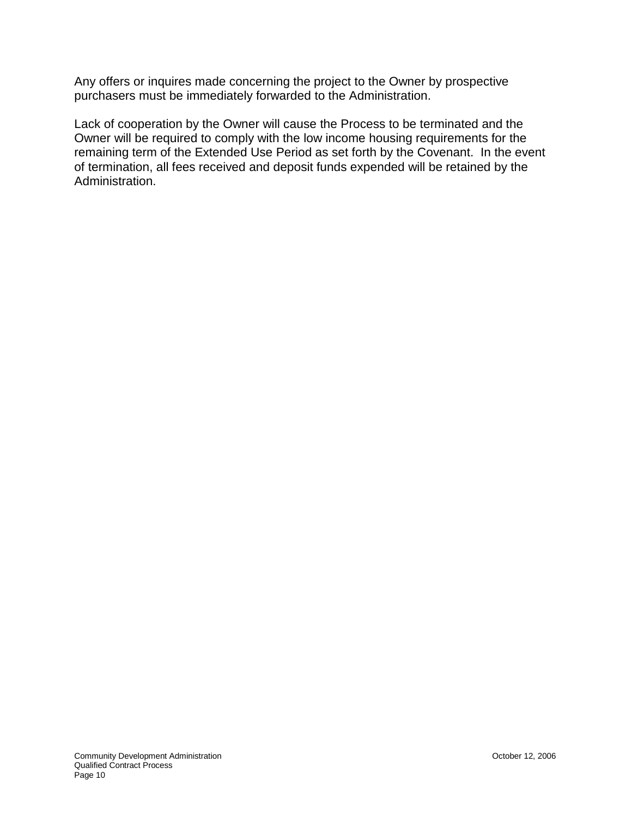Any offers or inquires made concerning the project to the Owner by prospective purchasers must be immediately forwarded to the Administration.

Lack of cooperation by the Owner will cause the Process to be terminated and the Owner will be required to comply with the low income housing requirements for the remaining term of the Extended Use Period as set forth by the Covenant. In the event of termination, all fees received and deposit funds expended will be retained by the Administration.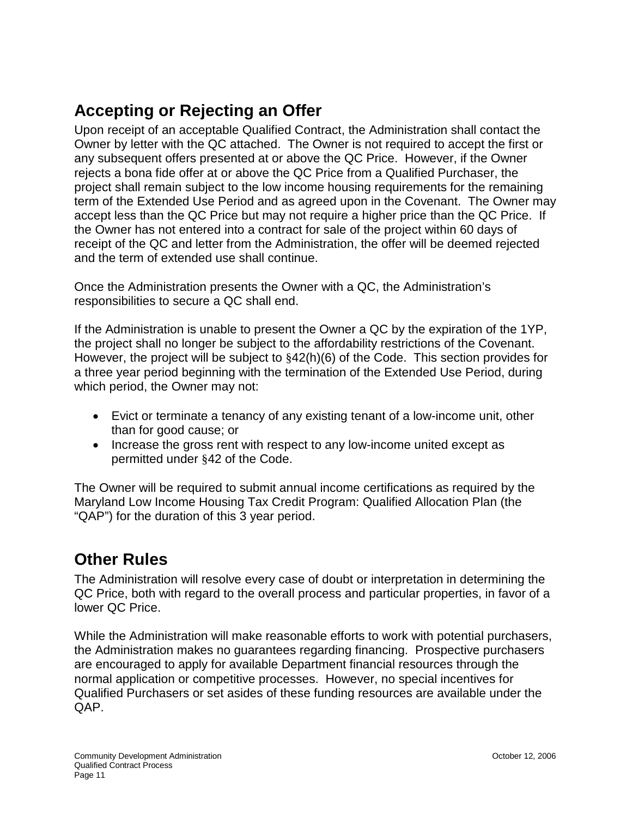# **Accepting or Rejecting an Offer**

Upon receipt of an acceptable Qualified Contract, the Administration shall contact the Owner by letter with the QC attached. The Owner is not required to accept the first or any subsequent offers presented at or above the QC Price. However, if the Owner rejects a bona fide offer at or above the QC Price from a Qualified Purchaser, the project shall remain subject to the low income housing requirements for the remaining term of the Extended Use Period and as agreed upon in the Covenant. The Owner may accept less than the QC Price but may not require a higher price than the QC Price. If the Owner has not entered into a contract for sale of the project within 60 days of receipt of the QC and letter from the Administration, the offer will be deemed rejected and the term of extended use shall continue.

Once the Administration presents the Owner with a QC, the Administration's responsibilities to secure a QC shall end.

If the Administration is unable to present the Owner a QC by the expiration of the 1YP, the project shall no longer be subject to the affordability restrictions of the Covenant. However, the project will be subject to §42(h)(6) of the Code. This section provides for a three year period beginning with the termination of the Extended Use Period, during which period, the Owner may not:

- Evict or terminate a tenancy of any existing tenant of a low-income unit, other than for good cause; or
- Increase the gross rent with respect to any low-income united except as permitted under §42 of the Code.

The Owner will be required to submit annual income certifications as required by the Maryland Low Income Housing Tax Credit Program: Qualified Allocation Plan (the "QAP") for the duration of this 3 year period.

# <span id="page-10-0"></span>**Other Rules**

The Administration will resolve every case of doubt or interpretation in determining the QC Price, both with regard to the overall process and particular properties, in favor of a lower QC Price.

While the Administration will make reasonable efforts to work with potential purchasers, the Administration makes no guarantees regarding financing. Prospective purchasers are encouraged to apply for available Department financial resources through the normal application or competitive processes. However, no special incentives for Qualified Purchasers or set asides of these funding resources are available under the QAP.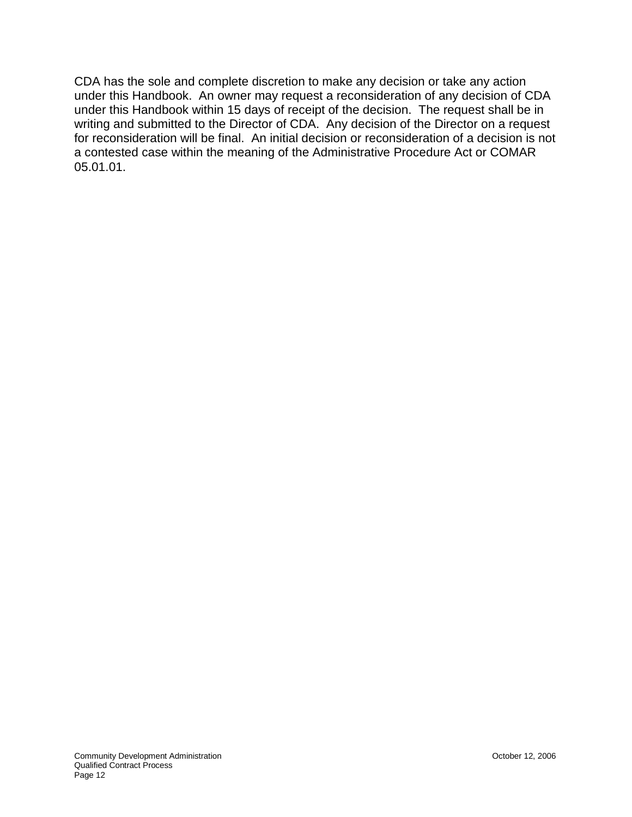CDA has the sole and complete discretion to make any decision or take any action under this Handbook. An owner may request a reconsideration of any decision of CDA under this Handbook within 15 days of receipt of the decision. The request shall be in writing and submitted to the Director of CDA. Any decision of the Director on a request for reconsideration will be final. An initial decision or reconsideration of a decision is not a contested case within the meaning of the Administrative Procedure Act or COMAR 05.01.01.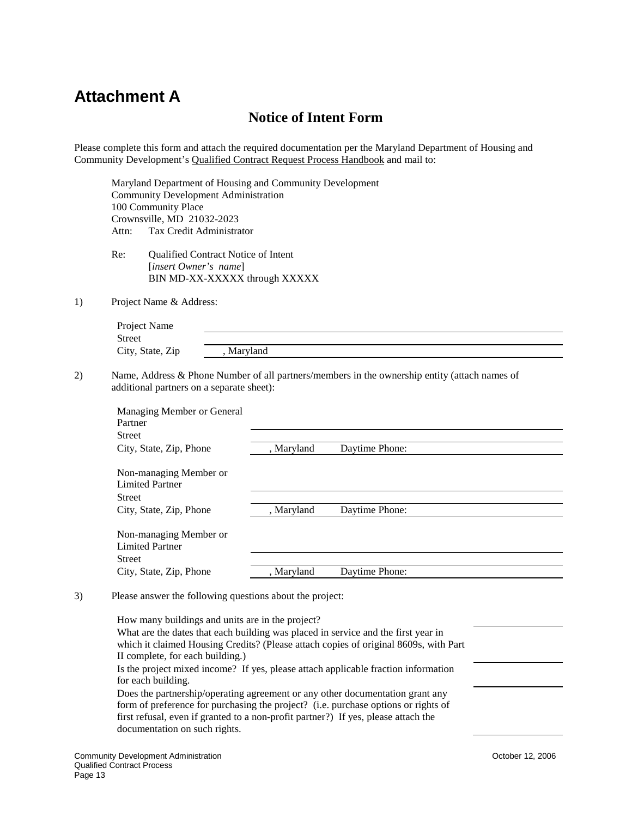## <span id="page-12-0"></span>**Attachment A**

### **Notice of Intent Form**

Please complete this form and attach the required documentation per the Maryland Department of Housing and Community Development's Qualified Contract Request Process Handbook and mail to:

Maryland Department of Housing and Community Development Community Development Administration 100 Community Place Crownsville, MD 21032-2023 Attn: Tax Credit Administrator

Re: Qualified Contract Notice of Intent [*insert Owner's name*] BIN MD-XX-XXXXX through XXXXX

1) Project Name & Address:

| Project Name     |          |  |
|------------------|----------|--|
| Street           |          |  |
| City, State, Zip | Maryland |  |

2) Name, Address & Phone Number of all partners/members in the ownership entity (attach names of additional partners on a separate sheet):

| Managing Member or General |            |                |  |
|----------------------------|------------|----------------|--|
| Partner                    |            |                |  |
| <b>Street</b>              |            |                |  |
| City, State, Zip, Phone    | , Maryland | Daytime Phone: |  |
|                            |            |                |  |
| Non-managing Member or     |            |                |  |
| <b>Limited Partner</b>     |            |                |  |
| <b>Street</b>              |            |                |  |
| City, State, Zip, Phone    | , Maryland | Daytime Phone: |  |
|                            |            |                |  |
| Non-managing Member or     |            |                |  |
| <b>Limited Partner</b>     |            |                |  |
| <b>Street</b>              |            |                |  |
| City, State, Zip, Phone    | , Maryland | Daytime Phone: |  |
|                            |            |                |  |

3) Please answer the following questions about the project:

How many buildings and units are in the project? What are the dates that each building was placed in service and the first year in which it claimed Housing Credits? (Please attach copies of original 8609s, with Part II complete, for each building.) Is the project mixed income? If yes, please attach applicable fraction information for each building. Does the partnership/operating agreement or any other documentation grant any form of preference for purchasing the project? (i.e. purchase options or rights of first refusal, even if granted to a non-profit partner?) If yes, please attach the documentation on such rights.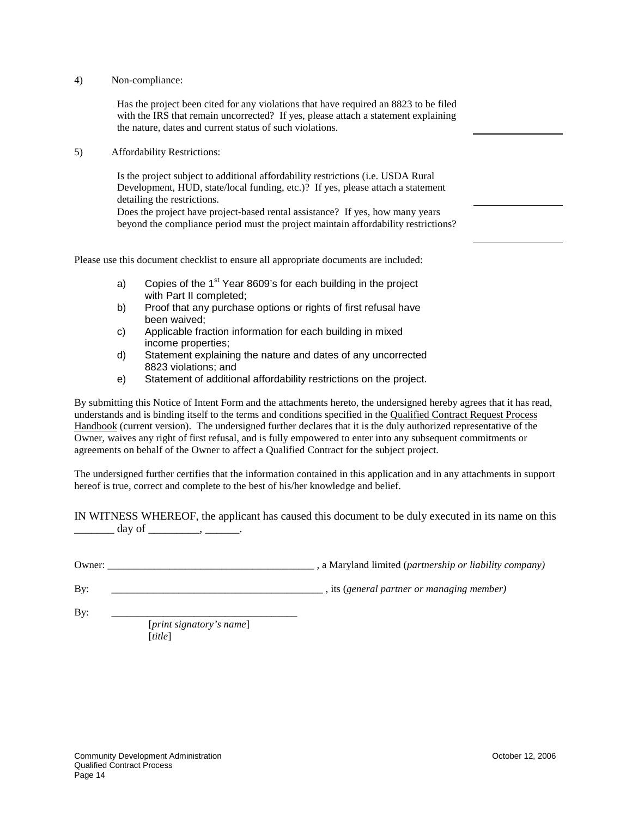#### 4) Non-compliance:

Has the project been cited for any violations that have required an 8823 to be filed with the IRS that remain uncorrected? If yes, please attach a statement explaining the nature, dates and current status of such violations.

5) Affordability Restrictions:

Is the project subject to additional affordability restrictions (i.e. USDA Rural Development, HUD, state/local funding, etc.)? If yes, please attach a statement detailing the restrictions.

Does the project have project-based rental assistance? If yes, how many years beyond the compliance period must the project maintain affordability restrictions?

Please use this document checklist to ensure all appropriate documents are included:

- a) Copies of the  $1<sup>st</sup>$  Year 8609's for each building in the project with Part II completed;
- b) Proof that any purchase options or rights of first refusal have been waived;
- c) Applicable fraction information for each building in mixed income properties;
- d) Statement explaining the nature and dates of any uncorrected 8823 violations; and
- e) Statement of additional affordability restrictions on the project.

By submitting this Notice of Intent Form and the attachments hereto, the undersigned hereby agrees that it has read, understands and is binding itself to the terms and conditions specified in the Qualified Contract Request Process Handbook (current version). The undersigned further declares that it is the duly authorized representative of the Owner, waives any right of first refusal, and is fully empowered to enter into any subsequent commitments or agreements on behalf of the Owner to affect a Qualified Contract for the subject project.

The undersigned further certifies that the information contained in this application and in any attachments in support hereof is true, correct and complete to the best of his/her knowledge and belief.

IN WITNESS WHEREOF, the applicant has caused this document to be duly executed in its name on this  $\frac{day \text{ of } \dots \text{ of } \dots \text{ of } \dots \text{ of } \dots \text{ of } \dots \text{ of } \dots \text{ of } \dots \text{ of } \dots \text{ of } \dots \text{ of } \dots \text{ of } \dots \text{ of } \dots \text{ of } \dots \text{ of } \dots \text{ of } \dots \text{ of } \dots \text{ of } \dots \text{ of } \dots \text{ of } \dots \text{ of } \dots \text{ of } \dots \text{ of } \dots \text{ of } \dots \text{ of } \dots \text{ of } \dots \text{ of } \dots \text{ of } \dots \text{ of } \dots \text{ of } \dots \text{ of } \dots \text{ of } \$ 

Owner: \_\_\_\_\_\_\_\_\_\_\_\_\_\_\_\_\_\_\_\_\_\_\_\_\_\_\_\_\_\_\_\_\_\_\_\_\_\_\_\_ , a Maryland limited (*partnership or liability company)*

By: \_\_\_\_\_\_\_\_\_\_\_\_\_\_\_\_\_\_\_\_\_\_\_\_\_\_\_\_\_\_\_\_\_\_\_\_\_\_\_\_\_ , its (*general partner or managing member)*

By: \_\_\_\_\_\_\_\_\_\_\_\_\_\_\_\_\_\_\_\_\_\_\_\_\_\_\_\_\_\_\_\_\_\_\_\_

[*print signatory's name*] [*title*]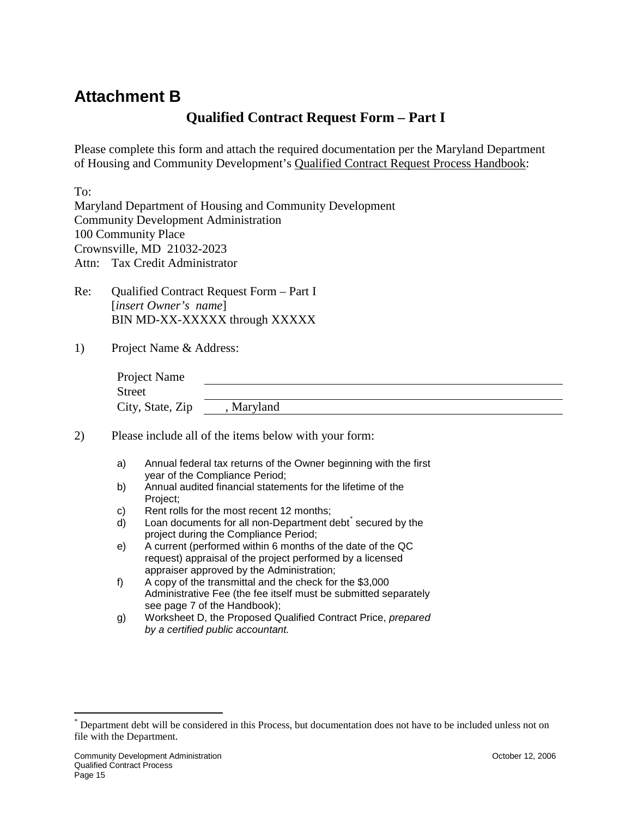## <span id="page-14-0"></span>**Attachment B**

### **Qualified Contract Request Form – Part I**

Please complete this form and attach the required documentation per the Maryland Department of Housing and Community Development's Qualified Contract Request Process Handbook:

To:

Maryland Department of Housing and Community Development Community Development Administration 100 Community Place Crownsville, MD 21032-2023 Attn: Tax Credit Administrator

- Re: Qualified Contract Request Form Part I [*insert Owner's name*] BIN MD-XX-XXXXX through XXXXX
- 1) Project Name & Address:

| Project Name     |          |  |
|------------------|----------|--|
| <b>Street</b>    |          |  |
| City, State, Zip | Maryland |  |

2) Please include all of the items below with your form:

- a) Annual federal tax returns of the Owner beginning with the first year of the Compliance Period;
- b) Annual audited financial statements for the lifetime of the Project;
- c) Rent rolls for the most recent 12 months;
- d) Loan documents for all non-Department debt<sup>[\\*](#page-14-1)</sup> secured by the project during the Compliance Period;
- e) A current (performed within 6 months of the date of the QC request) appraisal of the project performed by a licensed appraiser approved by the Administration;
- f) A copy of the transmittal and the check for the \$3,000 Administrative Fee (the fee itself must be submitted separately see page 7 of the Handbook);
- g) Worksheet D, the Proposed Qualified Contract Price, *prepared by a certified public accountant.*

<span id="page-14-1"></span>Department debt will be considered in this Process, but documentation does not have to be included unless not on file with the Department.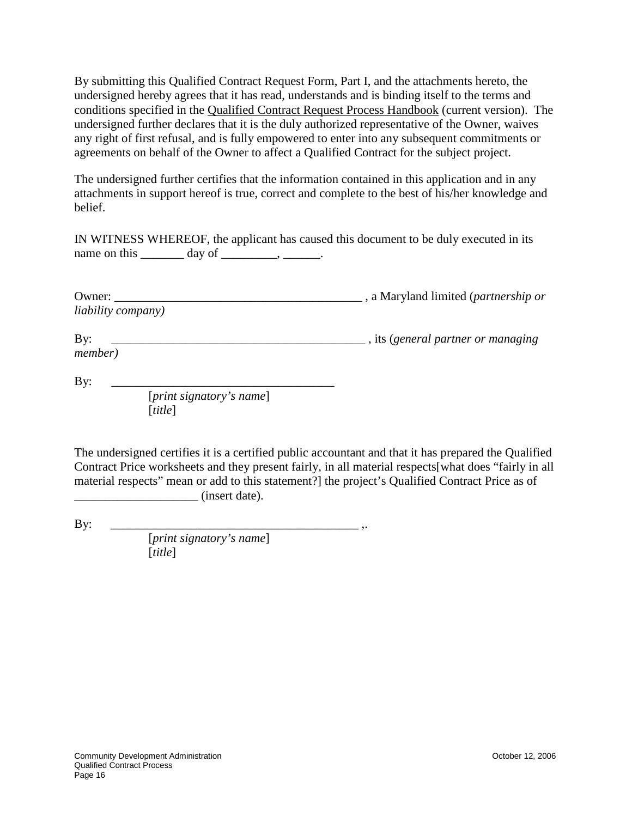By submitting this Qualified Contract Request Form, Part I, and the attachments hereto, the undersigned hereby agrees that it has read, understands and is binding itself to the terms and conditions specified in the Qualified Contract Request Process Handbook (current version). The undersigned further declares that it is the duly authorized representative of the Owner, waives any right of first refusal, and is fully empowered to enter into any subsequent commitments or agreements on behalf of the Owner to affect a Qualified Contract for the subject project.

The undersigned further certifies that the information contained in this application and in any attachments in support hereof is true, correct and complete to the best of his/her knowledge and belief.

IN WITNESS WHEREOF, the applicant has caused this document to be duly executed in its name on this  $\_\_\_\_$  day of  $\_\_\_\_\_\_\_\_\_\_\_\_\_\_\_\_\_\_$ .

| Owner:                     | a Maryland limited ( <i>partnership or</i> |
|----------------------------|--------------------------------------------|
| <i>liability company</i> ) |                                            |
| $\rm\,By:$                 | , its (general partner or managing)        |
| <i>member</i> )            |                                            |

By: \_\_\_\_\_\_\_\_\_\_\_\_\_\_\_\_\_\_\_\_\_\_\_\_\_\_\_\_\_\_\_\_\_\_\_\_ [*print signatory's name*] [*title*]

The undersigned certifies it is a certified public accountant and that it has prepared the Qualified Contract Price worksheets and they present fairly, in all material respects[what does "fairly in all material respects" mean or add to this statement?] the project's Qualified Contract Price as of  $\frac{1}{2}$  (insert date).

By: \_\_\_\_\_\_\_\_\_\_\_\_\_\_\_\_\_\_\_\_\_\_\_\_\_\_\_\_\_\_\_\_\_\_\_\_\_\_\_\_ ,.

[*print signatory's name*] [*title*]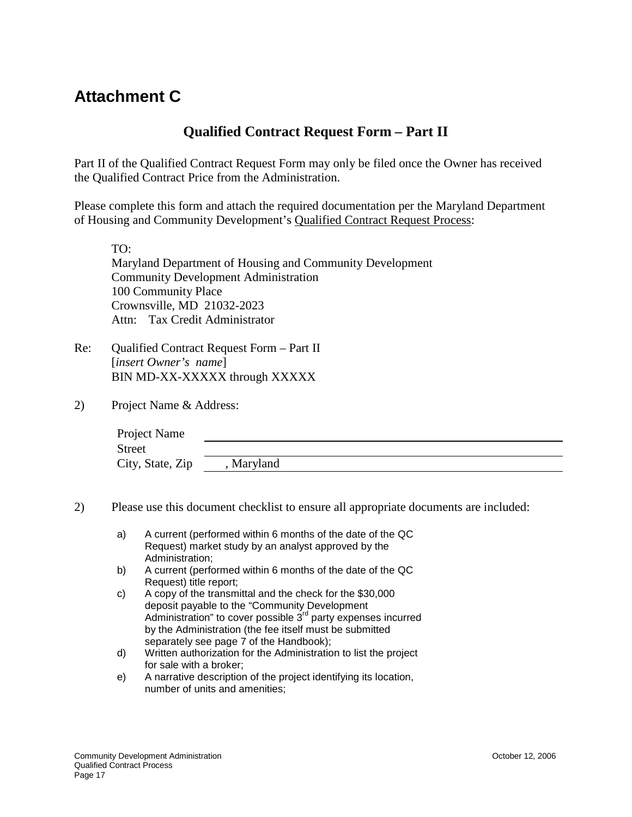## <span id="page-16-0"></span>**Attachment C**

### **Qualified Contract Request Form – Part II**

Part II of the Qualified Contract Request Form may only be filed once the Owner has received the Qualified Contract Price from the Administration.

Please complete this form and attach the required documentation per the Maryland Department of Housing and Community Development's Qualified Contract Request Process:

TO: Maryland Department of Housing and Community Development Community Development Administration 100 Community Place Crownsville, MD 21032-2023 Attn: Tax Credit Administrator

- Re: Qualified Contract Request Form Part II [*insert Owner's name*] BIN MD-XX-XXXXX through XXXXX
- 2) Project Name & Address:

| Project Name     |          |  |
|------------------|----------|--|
| <b>Street</b>    |          |  |
| City, State, Zip | Maryland |  |

- 2) Please use this document checklist to ensure all appropriate documents are included:
	- a) A current (performed within 6 months of the date of the QC Request) market study by an analyst approved by the Administration;
	- b) A current (performed within 6 months of the date of the QC Request) title report;
	- c) A copy of the transmittal and the check for the \$30,000 deposit payable to the "Community Development Administration" to cover possible 3<sup>rd</sup> party expenses incurred by the Administration (the fee itself must be submitted separately see page 7 of the Handbook);
	- d) Written authorization for the Administration to list the project for sale with a broker;
	- e) A narrative description of the project identifying its location, number of units and amenities;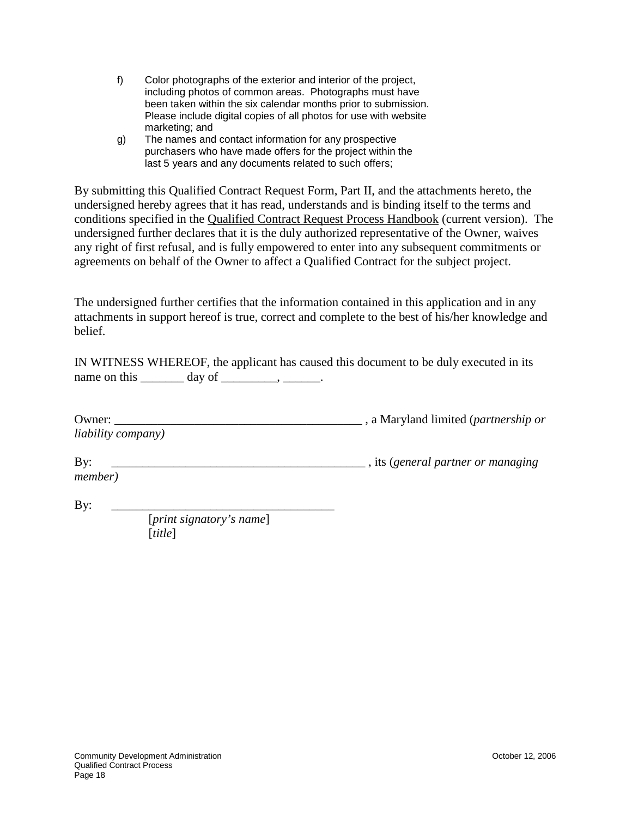- f) Color photographs of the exterior and interior of the project, including photos of common areas. Photographs must have been taken within the six calendar months prior to submission. Please include digital copies of all photos for use with website marketing; and
- g) The names and contact information for any prospective purchasers who have made offers for the project within the last 5 years and any documents related to such offers;

By submitting this Qualified Contract Request Form, Part II, and the attachments hereto, the undersigned hereby agrees that it has read, understands and is binding itself to the terms and conditions specified in the Qualified Contract Request Process Handbook (current version). The undersigned further declares that it is the duly authorized representative of the Owner, waives any right of first refusal, and is fully empowered to enter into any subsequent commitments or agreements on behalf of the Owner to affect a Qualified Contract for the subject project.

The undersigned further certifies that the information contained in this application and in any attachments in support hereof is true, correct and complete to the best of his/her knowledge and belief.

IN WITNESS WHEREOF, the applicant has caused this document to be duly executed in its name on this  $\_\_\_\_\_\_\$  day of  $\_\_\_\_\_\_\_\_\_\_\_\_\_\.\_\_\_\_\_\_$ .

| Owner:                     | , a Maryland limited (partnership or |
|----------------------------|--------------------------------------|
| <i>liability company</i> ) |                                      |

| By      | , its (general partner or managing |
|---------|------------------------------------|
| member) |                                    |

By: \_\_\_\_\_\_\_\_\_\_\_\_\_\_\_\_\_\_\_\_\_\_\_\_\_\_\_\_\_\_\_\_\_\_\_\_ [*print signatory's name*] [*title*]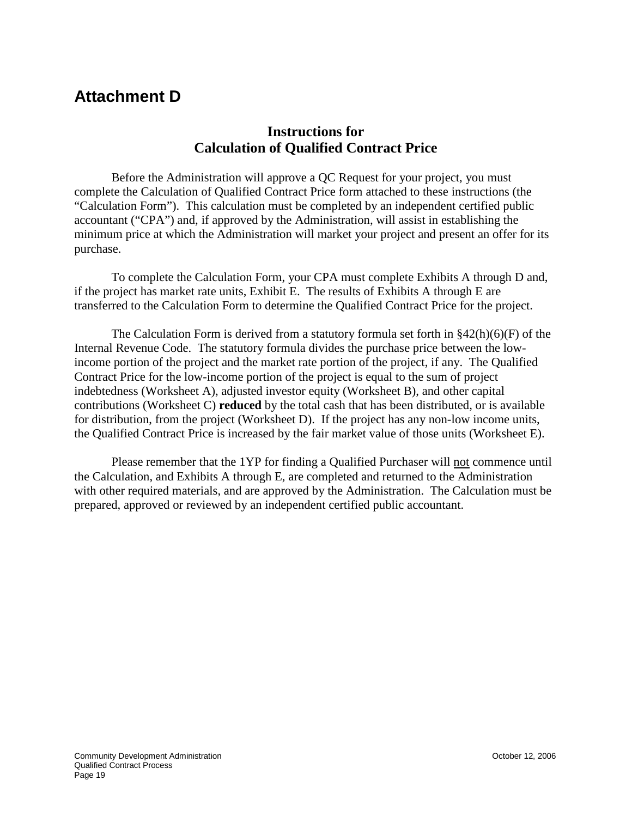## <span id="page-18-0"></span>**Attachment D**

### **Instructions for Calculation of Qualified Contract Price**

Before the Administration will approve a QC Request for your project, you must complete the Calculation of Qualified Contract Price form attached to these instructions (the "Calculation Form"). This calculation must be completed by an independent certified public accountant ("CPA") and, if approved by the Administration, will assist in establishing the minimum price at which the Administration will market your project and present an offer for its purchase.

To complete the Calculation Form, your CPA must complete Exhibits A through D and, if the project has market rate units, Exhibit E. The results of Exhibits A through E are transferred to the Calculation Form to determine the Qualified Contract Price for the project.

The Calculation Form is derived from a statutory formula set forth in  $\S42(h)(6)(F)$  of the Internal Revenue Code. The statutory formula divides the purchase price between the lowincome portion of the project and the market rate portion of the project, if any. The Qualified Contract Price for the low-income portion of the project is equal to the sum of project indebtedness (Worksheet A), adjusted investor equity (Worksheet B), and other capital contributions (Worksheet C) **reduced** by the total cash that has been distributed, or is available for distribution, from the project (Worksheet D). If the project has any non-low income units, the Qualified Contract Price is increased by the fair market value of those units (Worksheet E).

Please remember that the 1YP for finding a Qualified Purchaser will not commence until the Calculation, and Exhibits A through E, are completed and returned to the Administration with other required materials, and are approved by the Administration. The Calculation must be prepared, approved or reviewed by an independent certified public accountant.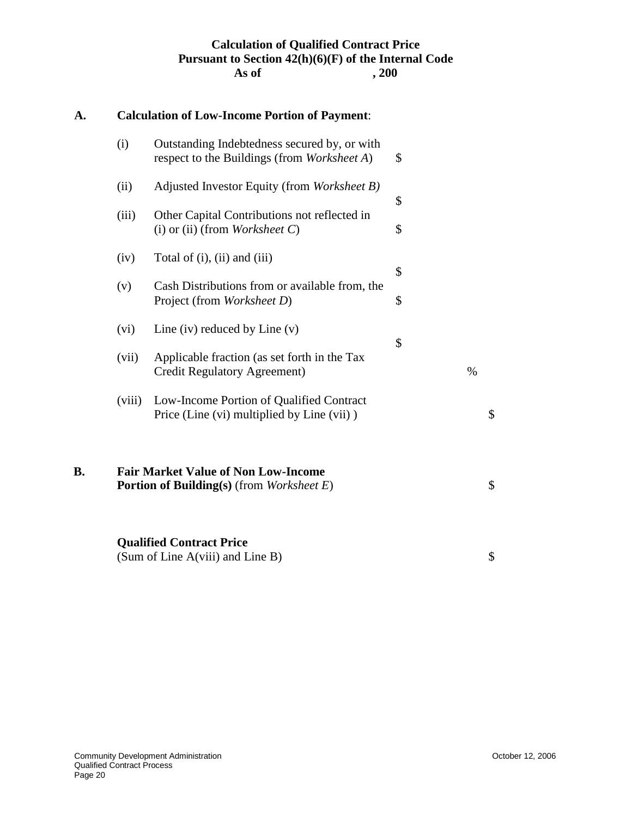#### **Calculation of Qualified Contract Price Pursuant to Section 42(h)(6)(F) of the Internal Code** As of  $\,$ , 200

# **A. Calculation of Low-Income Portion of Payment**: (i) Outstanding Indebtedness secured by, or with respect to the Buildings (from *Worksheet A*) \$ (ii) Adjusted Investor Equity (from *Worksheet B)* \$ (iii) Other Capital Contributions not reflected in (i) or (ii) (from *Worksheet C*) \$  $(iv)$  Total of  $(i)$ ,  $(ii)$  and  $(iii)$ \$ (v) Cash Distributions from or available from, the Project (from *Worksheet D*)  $\$ (vi) Line (iv) reduced by Line (v) \$ (vii) Applicable fraction (as set forth in the Tax Credit Regulatory Agreement) % (viii) Low-Income Portion of Qualified Contract Price (Line (vi) multiplied by Line (vii)  $\$ **B. Fair Market Value of Non Low-Income Portion of Building(s)** (from *Worksheet E*) \$ **Qualified Contract Price** (Sum of Line A(viii) and Line B)  $\$\$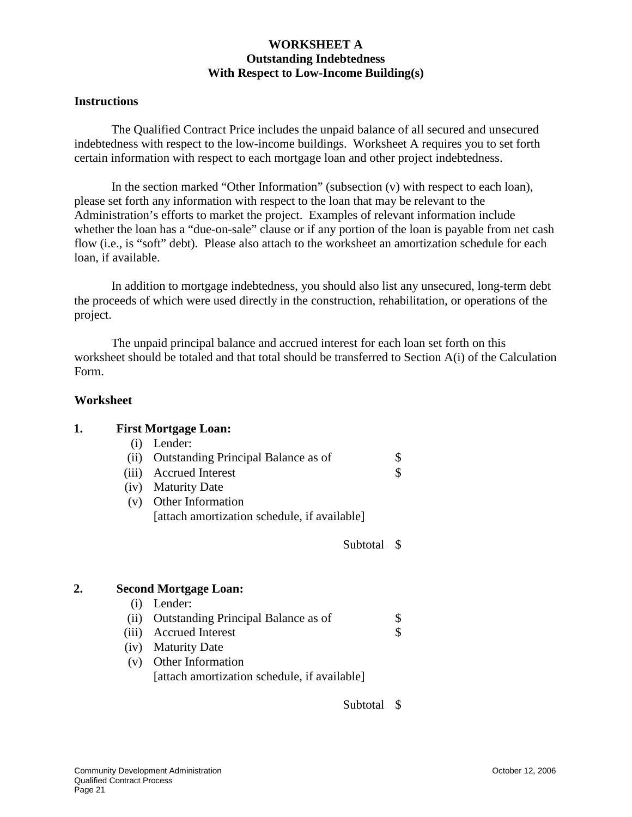#### **WORKSHEET A Outstanding Indebtedness With Respect to Low-Income Building(s)**

#### **Instructions**

The Qualified Contract Price includes the unpaid balance of all secured and unsecured indebtedness with respect to the low-income buildings. Worksheet A requires you to set forth certain information with respect to each mortgage loan and other project indebtedness.

In the section marked "Other Information" (subsection (v) with respect to each loan), please set forth any information with respect to the loan that may be relevant to the Administration's efforts to market the project. Examples of relevant information include whether the loan has a "due-on-sale" clause or if any portion of the loan is payable from net cash flow (i.e., is "soft" debt). Please also attach to the worksheet an amortization schedule for each loan, if available.

In addition to mortgage indebtedness, you should also list any unsecured, long-term debt the proceeds of which were used directly in the construction, rehabilitation, or operations of the project.

The unpaid principal balance and accrued interest for each loan set forth on this worksheet should be totaled and that total should be transferred to Section A(i) of the Calculation Form.

#### **Worksheet**

| <b>First Mortgage Loan:</b>                  |                                                                            |
|----------------------------------------------|----------------------------------------------------------------------------|
| Lender:<br>(i)                               |                                                                            |
| <b>Outstanding Principal Balance as of</b>   | \$                                                                         |
| <b>Accrued Interest</b>                      | \$                                                                         |
| (iv) Maturity Date                           |                                                                            |
| (v) Other Information                        |                                                                            |
| [attach amortization schedule, if available] |                                                                            |
| Subtotal                                     | - \$                                                                       |
|                                              |                                                                            |
| Lender:                                      |                                                                            |
|                                              | \$                                                                         |
| <b>Accrued Interest</b>                      | \$                                                                         |
| (iv) Maturity Date                           |                                                                            |
| (v) Other Information                        |                                                                            |
| [attach amortization schedule, if available] |                                                                            |
|                                              | <b>Second Mortgage Loan:</b><br><b>Outstanding Principal Balance as of</b> |

Subtotal \$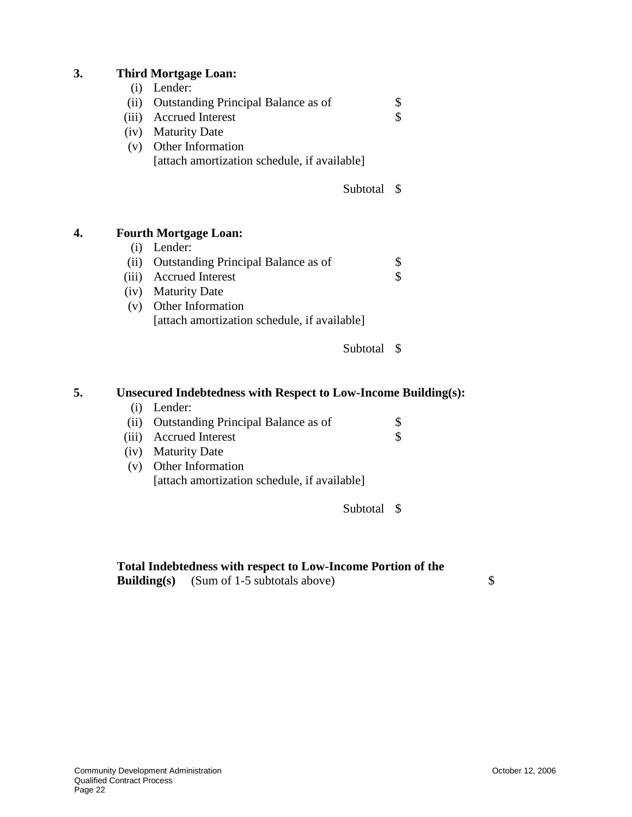| 3. |       | <b>Third Mortgage Loan:</b>                                           |          |                         |
|----|-------|-----------------------------------------------------------------------|----------|-------------------------|
|    | (i)   | Lender:                                                               |          |                         |
|    | (ii)  | Outstanding Principal Balance as of                                   |          | \$                      |
|    | (iii) | <b>Accrued Interest</b>                                               |          | \$                      |
|    |       | (iv) Maturity Date                                                    |          |                         |
|    |       | (v) Other Information                                                 |          |                         |
|    |       | [attach amortization schedule, if available]                          |          |                         |
|    |       |                                                                       | Subtotal | S                       |
| 4. |       | <b>Fourth Mortgage Loan:</b>                                          |          |                         |
|    | (i)   | Lender:                                                               |          |                         |
|    | (ii)  | <b>Outstanding Principal Balance as of</b>                            |          | \$                      |
|    |       | (iii) Accrued Interest                                                |          | $\overline{\mathbb{S}}$ |
|    |       | (iv) Maturity Date                                                    |          |                         |
|    | (v)   | Other Information                                                     |          |                         |
|    |       | [attach amortization schedule, if available]                          |          |                         |
|    |       |                                                                       | Subtotal | - \$                    |
| 5. |       | <b>Unsecured Indebtedness with Respect to Low-Income Building(s):</b> |          |                         |
|    | (i)   | Lender:                                                               |          |                         |
|    | (ii)  | Outstanding Principal Balance as of                                   |          | \$                      |
|    | (iii) | <b>Accrued Interest</b>                                               |          | \$                      |
|    | (iv)  | <b>Maturity Date</b>                                                  |          |                         |
|    | (v)   | Other Information                                                     |          |                         |

[attach amortization schedule, if available]

Subtotal \$

#### **Total Indebtedness with respect to Low-Income Portion of the**

**Building(s)** (Sum of 1-5 subtotals above) \$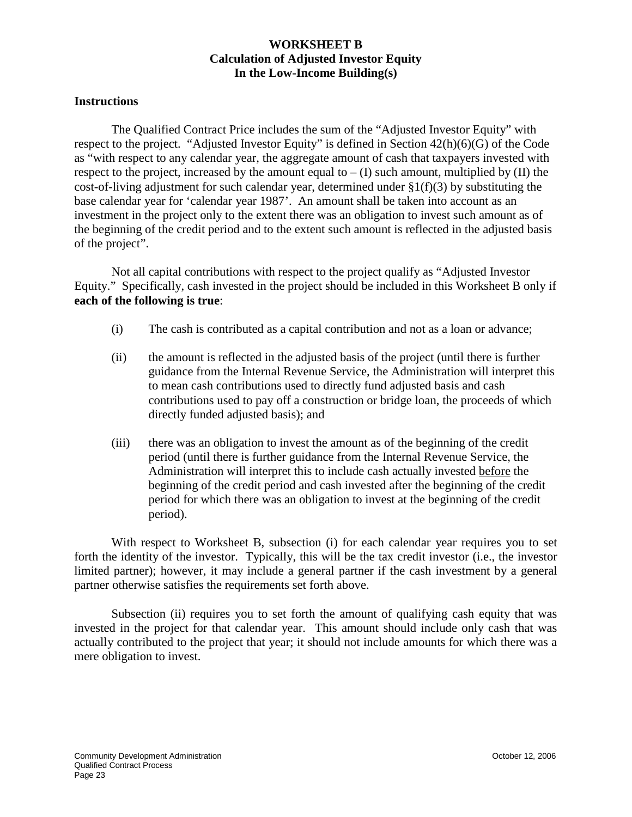#### **WORKSHEET B Calculation of Adjusted Investor Equity In the Low-Income Building(s)**

#### **Instructions**

The Qualified Contract Price includes the sum of the "Adjusted Investor Equity" with respect to the project. "Adjusted Investor Equity" is defined in Section 42(h)(6)(G) of the Code as "with respect to any calendar year, the aggregate amount of cash that taxpayers invested with respect to the project, increased by the amount equal to  $- (I)$  such amount, multiplied by  $(II)$  the cost-of-living adjustment for such calendar year, determined under  $\S1(f)(3)$  by substituting the base calendar year for 'calendar year 1987'. An amount shall be taken into account as an investment in the project only to the extent there was an obligation to invest such amount as of the beginning of the credit period and to the extent such amount is reflected in the adjusted basis of the project".

Not all capital contributions with respect to the project qualify as "Adjusted Investor Equity." Specifically, cash invested in the project should be included in this Worksheet B only if **each of the following is true**:

- (i) The cash is contributed as a capital contribution and not as a loan or advance;
- (ii) the amount is reflected in the adjusted basis of the project (until there is further guidance from the Internal Revenue Service, the Administration will interpret this to mean cash contributions used to directly fund adjusted basis and cash contributions used to pay off a construction or bridge loan, the proceeds of which directly funded adjusted basis); and
- (iii) there was an obligation to invest the amount as of the beginning of the credit period (until there is further guidance from the Internal Revenue Service, the Administration will interpret this to include cash actually invested before the beginning of the credit period and cash invested after the beginning of the credit period for which there was an obligation to invest at the beginning of the credit period).

With respect to Worksheet B, subsection (i) for each calendar year requires you to set forth the identity of the investor. Typically, this will be the tax credit investor (i.e., the investor limited partner); however, it may include a general partner if the cash investment by a general partner otherwise satisfies the requirements set forth above.

Subsection (ii) requires you to set forth the amount of qualifying cash equity that was invested in the project for that calendar year. This amount should include only cash that was actually contributed to the project that year; it should not include amounts for which there was a mere obligation to invest.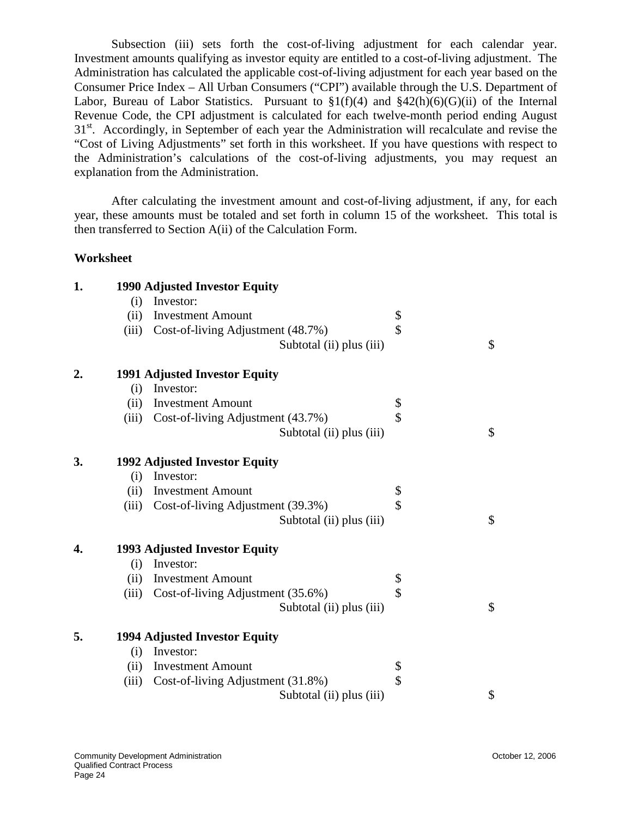Subsection (iii) sets forth the cost-of-living adjustment for each calendar year. Investment amounts qualifying as investor equity are entitled to a cost-of-living adjustment. The Administration has calculated the applicable cost-of-living adjustment for each year based on the Consumer Price Index – All Urban Consumers ("CPI") available through the U.S. Department of Labor, Bureau of Labor Statistics. Pursuant to  $\S1(f)(4)$  and  $\S42(h)(6)(G)(ii)$  of the Internal Revenue Code, the CPI adjustment is calculated for each twelve-month period ending August 31<sup>st</sup>. Accordingly, in September of each year the Administration will recalculate and revise the "Cost of Living Adjustments" set forth in this worksheet. If you have questions with respect to the Administration's calculations of the cost-of-living adjustments, you may request an explanation from the Administration.

After calculating the investment amount and cost-of-living adjustment, if any, for each year, these amounts must be totaled and set forth in column 15 of the worksheet. This total is then transferred to Section A(ii) of the Calculation Form.

#### **Worksheet**

| 1. |       | 1990 Adjusted Investor Equity        |    |
|----|-------|--------------------------------------|----|
|    | (i)   | Investor:                            |    |
|    | (ii)  | <b>Investment Amount</b>             | \$ |
|    | (iii) | Cost-of-living Adjustment (48.7%)    | \$ |
|    |       | Subtotal (ii) plus (iii)             | \$ |
| 2. |       | <b>1991 Adjusted Investor Equity</b> |    |
|    | (i)   | Investor:                            |    |
|    | (ii)  | <b>Investment Amount</b>             | \$ |
|    | (iii) | Cost-of-living Adjustment (43.7%)    | \$ |
|    |       | Subtotal (ii) plus (iii)             | \$ |
| 3. |       | 1992 Adjusted Investor Equity        |    |
|    | (i)   | Investor:                            |    |
|    | (ii)  | <b>Investment Amount</b>             | \$ |
|    | (iii) | Cost-of-living Adjustment (39.3%)    | \$ |
|    |       | Subtotal (ii) plus (iii)             | \$ |
| 4. |       | 1993 Adjusted Investor Equity        |    |
|    | (i)   | Investor:                            |    |
|    | (ii)  | <b>Investment Amount</b>             | \$ |
|    | (iii) | Cost-of-living Adjustment (35.6%)    | \$ |
|    |       | Subtotal (ii) plus (iii)             | \$ |
| 5. |       | <b>1994 Adjusted Investor Equity</b> |    |
|    | (i)   | Investor:                            |    |
|    | (ii)  | <b>Investment Amount</b>             | \$ |
|    | (iii) | Cost-of-living Adjustment (31.8%)    | \$ |
|    |       | Subtotal (ii) plus (iii)             | \$ |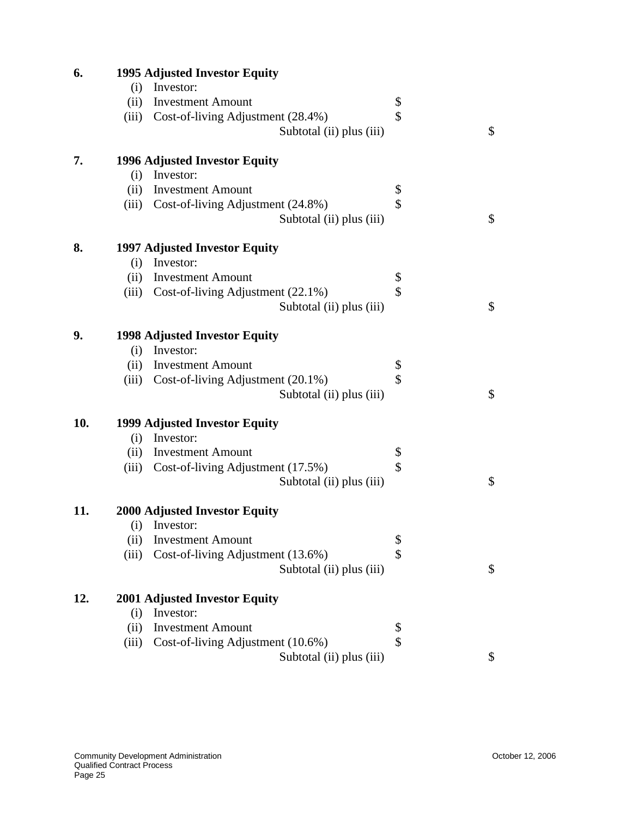| 6.  |       | <b>1995 Adjusted Investor Equity</b>                          |    |    |  |  |
|-----|-------|---------------------------------------------------------------|----|----|--|--|
|     | (i)   | Investor:                                                     |    |    |  |  |
|     | (ii)  | <b>Investment Amount</b>                                      | \$ |    |  |  |
|     | (iii) | Cost-of-living Adjustment (28.4%)                             | \$ |    |  |  |
|     |       | Subtotal (ii) plus (iii)                                      |    | \$ |  |  |
| 7.  |       | 1996 Adjusted Investor Equity                                 |    |    |  |  |
|     | (i)   | Investor:                                                     |    |    |  |  |
|     | (ii)  | <b>Investment Amount</b>                                      | \$ |    |  |  |
|     | (iii) | Cost-of-living Adjustment (24.8%)                             | \$ |    |  |  |
|     |       | Subtotal (ii) plus (iii)                                      |    | \$ |  |  |
| 8.  |       | 1997 Adjusted Investor Equity                                 |    |    |  |  |
|     | (i)   | Investor:                                                     |    |    |  |  |
|     | (ii)  | <b>Investment Amount</b>                                      | \$ |    |  |  |
|     | (iii) | Cost-of-living Adjustment (22.1%)                             | \$ |    |  |  |
|     |       | Subtotal (ii) plus (iii)                                      |    | \$ |  |  |
| 9.  |       | <b>1998 Adjusted Investor Equity</b>                          |    |    |  |  |
|     | (i)   | Investor:                                                     |    |    |  |  |
|     | (ii)  | <b>Investment Amount</b>                                      | \$ |    |  |  |
|     | (iii) | Cost-of-living Adjustment (20.1%)                             | \$ |    |  |  |
|     |       | Subtotal (ii) plus (iii)                                      |    | \$ |  |  |
| 10. |       | 1999 Adjusted Investor Equity                                 |    |    |  |  |
|     |       | (i) Investor:                                                 |    |    |  |  |
|     | (ii)  | <b>Investment Amount</b>                                      | \$ |    |  |  |
|     | (iii) | Cost-of-living Adjustment (17.5%)                             | \$ |    |  |  |
|     |       | Subtotal (ii) plus (iii)                                      |    | \$ |  |  |
| 11. |       | <b>2000 Adjusted Investor Equity</b>                          |    |    |  |  |
|     | (i)   | Investor:                                                     |    |    |  |  |
|     | (ii)  | <b>Investment Amount</b>                                      | \$ |    |  |  |
|     | (iii) | Cost-of-living Adjustment (13.6%)<br>Subtotal (ii) plus (iii) | \$ | \$ |  |  |
|     |       |                                                               |    |    |  |  |
| 12. |       | <b>2001 Adjusted Investor Equity</b>                          |    |    |  |  |
|     | (i)   | Investor:                                                     |    |    |  |  |
|     | (ii)  | <b>Investment Amount</b>                                      | \$ |    |  |  |
|     | (iii) | Cost-of-living Adjustment (10.6%)                             | \$ |    |  |  |
|     |       | Subtotal (ii) plus (iii)                                      |    | \$ |  |  |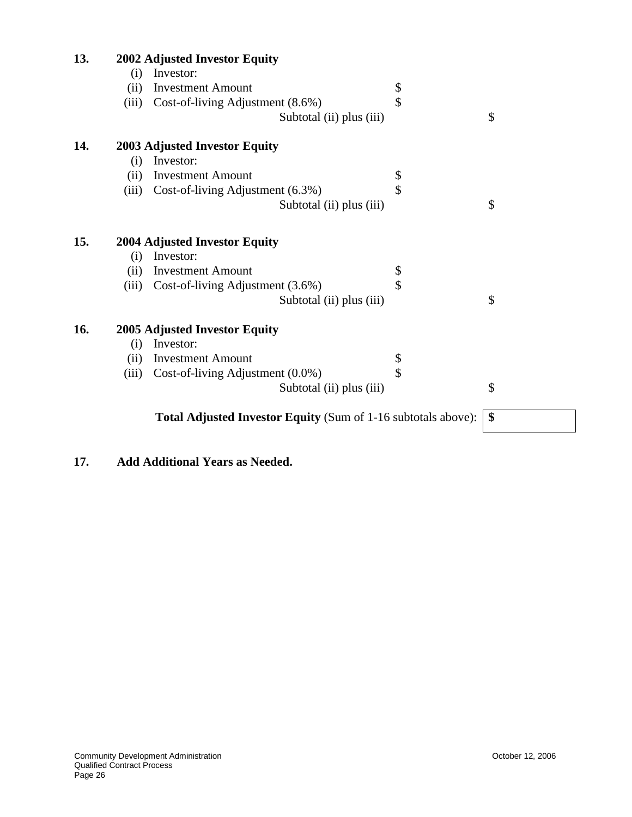| 13. |                    | 2002 Adjusted Investor Equity                                        |    |
|-----|--------------------|----------------------------------------------------------------------|----|
|     | (i)                | Investor:                                                            |    |
|     | (ii)               | <b>Investment Amount</b>                                             | \$ |
|     | (iii)              | Cost-of-living Adjustment (8.6%)                                     | \$ |
|     |                    | Subtotal (ii) plus (iii)                                             | \$ |
| 14. |                    | <b>2003 Adjusted Investor Equity</b>                                 |    |
|     | (i)                | Investor:                                                            |    |
|     | (ii)               | <b>Investment Amount</b>                                             | \$ |
|     | (iii)              | Cost-of-living Adjustment (6.3%)                                     | \$ |
|     |                    | Subtotal (ii) plus (iii)                                             | \$ |
| 15. |                    | 2004 Adjusted Investor Equity                                        |    |
|     | (i)                | Investor:                                                            |    |
|     | (ii)               | <b>Investment Amount</b>                                             | \$ |
|     | (iii)              | Cost-of-living Adjustment (3.6%)                                     | \$ |
|     |                    | Subtotal (ii) plus (iii)                                             | \$ |
| 16. |                    | 2005 Adjusted Investor Equity                                        |    |
|     | $\left( 1 \right)$ | Investor:                                                            |    |
|     | (ii)               | <b>Investment Amount</b>                                             | \$ |
|     | (iii)              | Cost-of-living Adjustment (0.0%)                                     | \$ |
|     |                    | Subtotal (ii) plus (iii)                                             | \$ |
|     |                    | <b>Total Adjusted Investor Equity (Sum of 1-16 subtotals above):</b> | \$ |
|     |                    |                                                                      |    |

### **17. Add Additional Years as Needed.**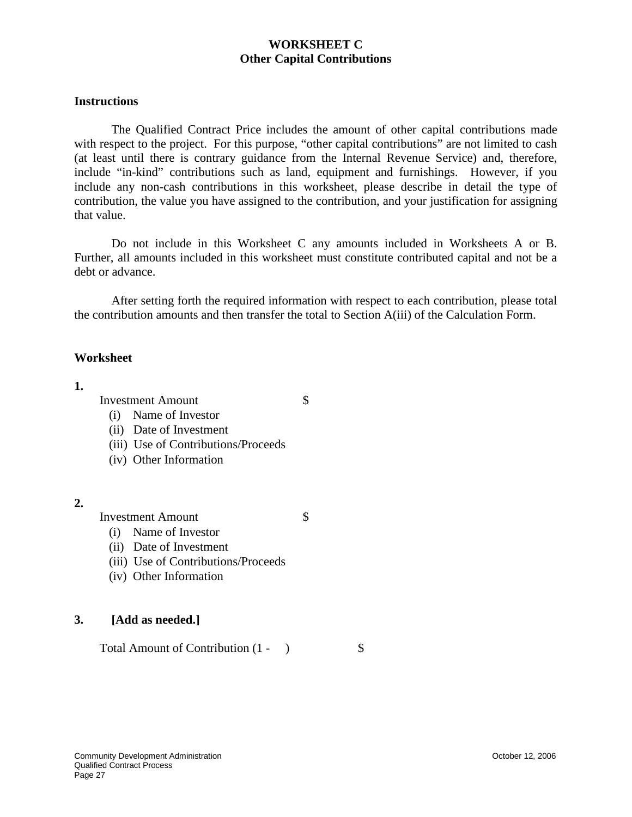#### **WORKSHEET C Other Capital Contributions**

#### **Instructions**

The Qualified Contract Price includes the amount of other capital contributions made with respect to the project. For this purpose, "other capital contributions" are not limited to cash (at least until there is contrary guidance from the Internal Revenue Service) and, therefore, include "in-kind" contributions such as land, equipment and furnishings. However, if you include any non-cash contributions in this worksheet, please describe in detail the type of contribution, the value you have assigned to the contribution, and your justification for assigning that value.

Do not include in this Worksheet C any amounts included in Worksheets A or B. Further, all amounts included in this worksheet must constitute contributed capital and not be a debt or advance.

After setting forth the required information with respect to each contribution, please total the contribution amounts and then transfer the total to Section A(iii) of the Calculation Form.

#### **Worksheet**

#### **1.**

Investment Amount \$

- (i) Name of Investor
- (ii) Date of Investment
- (iii) Use of Contributions/Proceeds
- (iv) Other Information

**2.**

Investment Amount \$

- (i) Name of Investor
- (ii) Date of Investment
- (iii) Use of Contributions/Proceeds
- (iv) Other Information

#### **3. [Add as needed.]**

Total Amount of Contribution  $(1 - )$  \$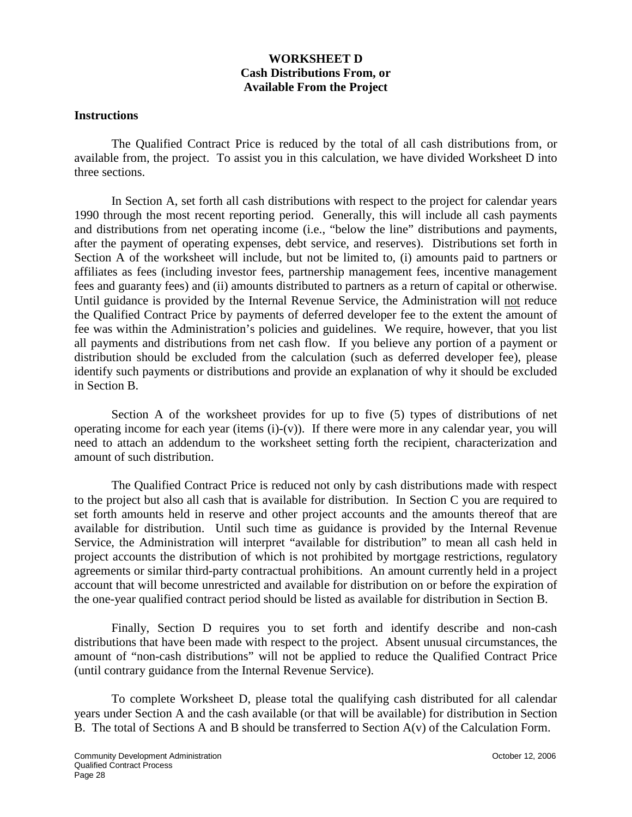#### **WORKSHEET D Cash Distributions From, or Available From the Project**

#### **Instructions**

The Qualified Contract Price is reduced by the total of all cash distributions from, or available from, the project. To assist you in this calculation, we have divided Worksheet D into three sections.

In Section A, set forth all cash distributions with respect to the project for calendar years 1990 through the most recent reporting period. Generally, this will include all cash payments and distributions from net operating income (i.e., "below the line" distributions and payments, after the payment of operating expenses, debt service, and reserves). Distributions set forth in Section A of the worksheet will include, but not be limited to, (i) amounts paid to partners or affiliates as fees (including investor fees, partnership management fees, incentive management fees and guaranty fees) and (ii) amounts distributed to partners as a return of capital or otherwise. Until guidance is provided by the Internal Revenue Service, the Administration will not reduce the Qualified Contract Price by payments of deferred developer fee to the extent the amount of fee was within the Administration's policies and guidelines. We require, however, that you list all payments and distributions from net cash flow. If you believe any portion of a payment or distribution should be excluded from the calculation (such as deferred developer fee), please identify such payments or distributions and provide an explanation of why it should be excluded in Section B.

Section A of the worksheet provides for up to five (5) types of distributions of net operating income for each year (items  $(i)-(v)$ ). If there were more in any calendar year, you will need to attach an addendum to the worksheet setting forth the recipient, characterization and amount of such distribution.

The Qualified Contract Price is reduced not only by cash distributions made with respect to the project but also all cash that is available for distribution. In Section C you are required to set forth amounts held in reserve and other project accounts and the amounts thereof that are available for distribution. Until such time as guidance is provided by the Internal Revenue Service, the Administration will interpret "available for distribution" to mean all cash held in project accounts the distribution of which is not prohibited by mortgage restrictions, regulatory agreements or similar third-party contractual prohibitions. An amount currently held in a project account that will become unrestricted and available for distribution on or before the expiration of the one-year qualified contract period should be listed as available for distribution in Section B.

Finally, Section D requires you to set forth and identify describe and non-cash distributions that have been made with respect to the project. Absent unusual circumstances, the amount of "non-cash distributions" will not be applied to reduce the Qualified Contract Price (until contrary guidance from the Internal Revenue Service).

To complete Worksheet D, please total the qualifying cash distributed for all calendar years under Section A and the cash available (or that will be available) for distribution in Section B. The total of Sections A and B should be transferred to Section A(v) of the Calculation Form.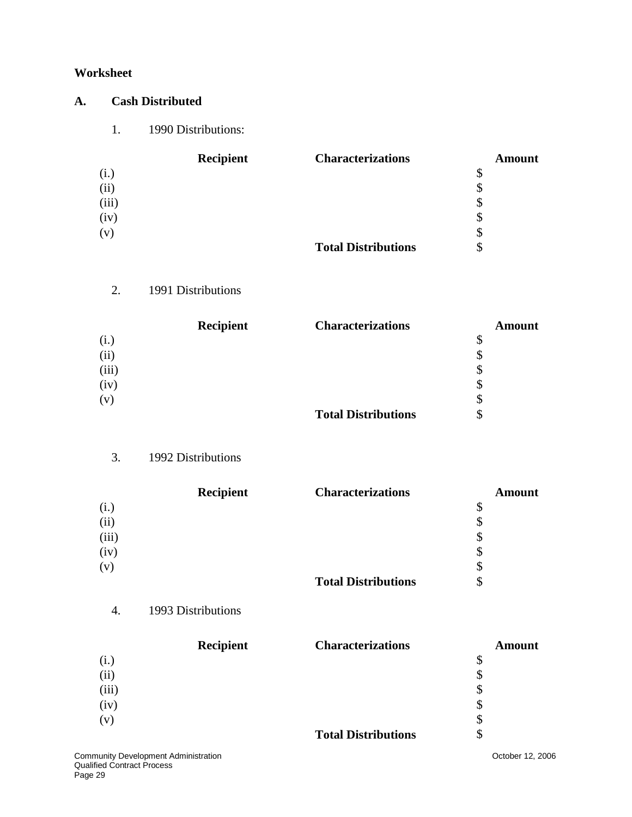#### **Worksheet**

### **A. Cash Distributed**

1. 1990 Distributions:

|       | <b>Recipient</b> | <b>Characterizations</b>   | <b>Amount</b> |
|-------|------------------|----------------------------|---------------|
| (i.)  |                  |                            | \$            |
| (ii)  |                  |                            | P             |
| (iii) |                  |                            | \$            |
| (iv)  |                  |                            | \$            |
| (v)   |                  |                            | S             |
|       |                  | <b>Total Distributions</b> |               |

### 2. 1991 Distributions

|       | <b>Recipient</b> | <b>Characterizations</b>   | <b>Amount</b> |
|-------|------------------|----------------------------|---------------|
| (i.)  |                  |                            | \$            |
| (ii)  |                  |                            | \$            |
| (iii) |                  |                            | \$            |
| (iv)  |                  |                            | \$            |
| (v)   |                  |                            | \$            |
|       |                  | <b>Total Distributions</b> | \$            |

### 3. 1992 Distributions

|       | <b>Recipient</b> | <b>Characterizations</b>   | <b>Amount</b> |
|-------|------------------|----------------------------|---------------|
| (i.)  |                  |                            | \$            |
| (ii)  |                  |                            | \$            |
| (iii) |                  |                            | \$            |
| (iv)  |                  |                            | \$            |
| (v)   |                  |                            | \$            |
|       |                  | <b>Total Distributions</b> | \$            |

### 4. 1993 Distributions

|       | <b>Recipient</b> | <b>Characterizations</b>   | Amount |
|-------|------------------|----------------------------|--------|
| (i.)  |                  |                            | \$     |
| (ii)  |                  |                            | \$     |
| (iii) |                  |                            | \$     |
| (iv)  |                  |                            | \$     |
| (v)   |                  |                            | \$     |
|       |                  | <b>Total Distributions</b> | \$     |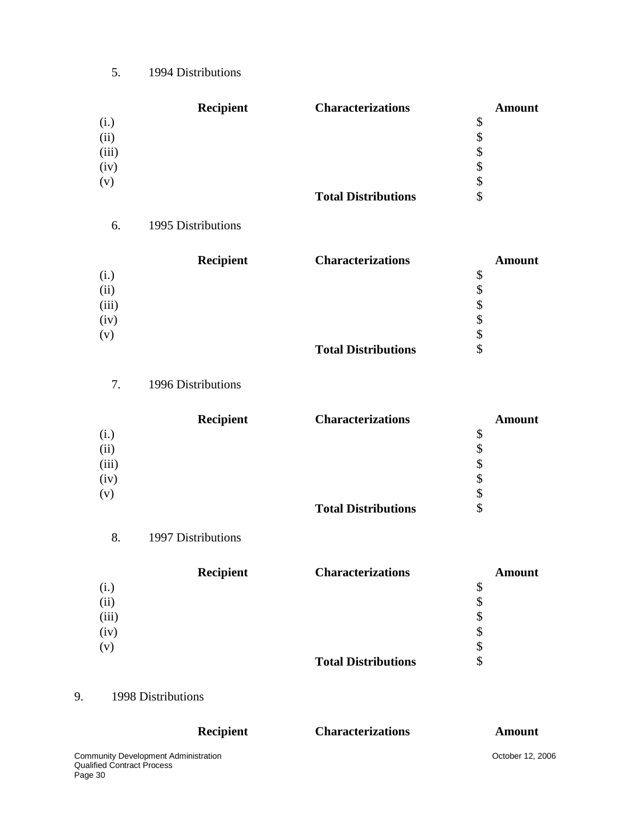5. 1994 Distributions

|       | <b>Recipient</b> | <b>Characterizations</b>   | <b>Amount</b> |
|-------|------------------|----------------------------|---------------|
| (i.)  |                  |                            | \$            |
| (ii)  |                  |                            | \$            |
| (iii) |                  |                            | \$            |
| (iv)  |                  |                            | \$            |
| (v)   |                  |                            | \$            |
|       |                  | <b>Total Distributions</b> | \$            |

#### 6. 1995 Distributions

|       | Recipient | <b>Characterizations</b>   | <b>Amount</b> |
|-------|-----------|----------------------------|---------------|
| (i.)  |           |                            | \$            |
| (ii)  |           |                            |               |
| (iii) |           |                            | \$            |
| (iv)  |           |                            | \$            |
| (v)   |           |                            |               |
|       |           | <b>Total Distributions</b> |               |

7. 1996 Distributions

|       | <b>Recipient</b> | <b>Characterizations</b>   | <b>Amount</b> |
|-------|------------------|----------------------------|---------------|
| (i.)  |                  |                            | \$            |
| (ii)  |                  |                            | S             |
| (iii) |                  |                            | \$            |
| (iv)  |                  |                            | \$            |
| (v)   |                  |                            | \$            |
|       |                  | <b>Total Distributions</b> | \$            |

8. 1997 Distributions

|       | <b>Recipient</b> | <b>Characterizations</b>   | <b>Amount</b> |
|-------|------------------|----------------------------|---------------|
| (i.)  |                  |                            | \$            |
| (ii)  |                  |                            | \$            |
| (iii) |                  |                            | \$            |
| (iv)  |                  |                            | \$            |
| (v)   |                  |                            | \$            |
|       |                  | <b>Total Distributions</b> | \$            |

### 9. 1998 Distributions

| <b>Recipient</b>                            | <b>Characterizations</b> | Amount           |
|---------------------------------------------|--------------------------|------------------|
| <b>Community Development Administration</b> |                          | October 12, 2006 |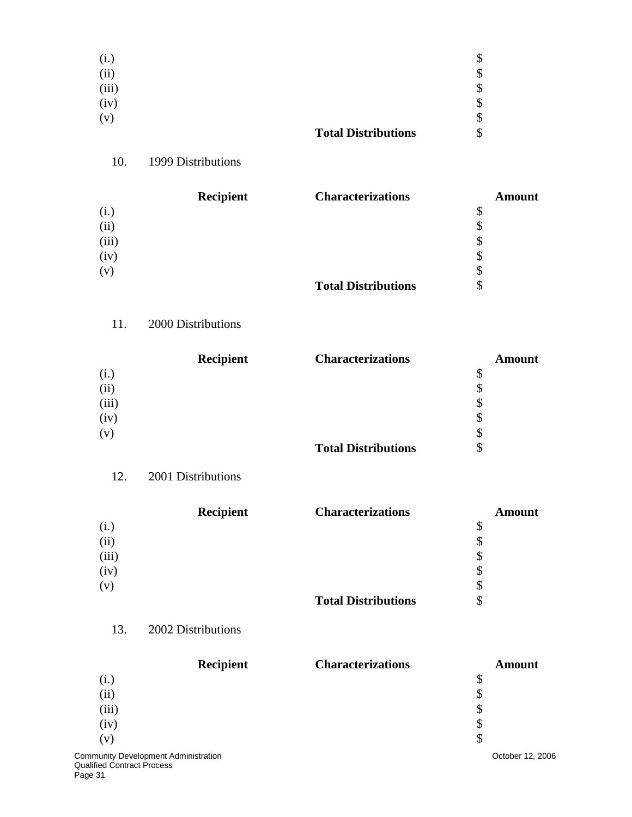| (i.)  |                            | J  |
|-------|----------------------------|----|
| (ii)  |                            | \$ |
| (iii) |                            | \$ |
| (iv)  |                            | \$ |
| (v)   |                            | \$ |
|       | <b>Total Distributions</b> | \$ |

## 10. 1999 Distributions

|       | <b>Recipient</b> | <b>Characterizations</b>   | <b>Amount</b> |
|-------|------------------|----------------------------|---------------|
| (i.)  |                  |                            | \$            |
| (ii)  |                  |                            | \$            |
| (iii) |                  |                            | \$            |
| (iv)  |                  |                            | \$            |
| (v)   |                  |                            | \$            |
|       |                  | <b>Total Distributions</b> | \$            |

### 11. 2000 Distributions

|       | Recipient | <b>Characterizations</b>   | <b>Amount</b> |
|-------|-----------|----------------------------|---------------|
| (i.)  |           |                            | \$            |
| (ii)  |           |                            | \$            |
| (iii) |           |                            | \$            |
| (iv)  |           |                            | \$            |
| (v)   |           |                            | \$            |
|       |           | <b>Total Distributions</b> | \$            |

### 12. 2001 Distributions

|       | Recipient | <b>Characterizations</b>   | <b>Amount</b> |
|-------|-----------|----------------------------|---------------|
| (i.)  |           |                            | \$            |
| (ii)  |           |                            |               |
| (iii) |           |                            | S             |
| (iv)  |           |                            | S             |
| (v)   |           |                            | J             |
|       |           | <b>Total Distributions</b> |               |

### 13. 2002 Distributions

| <b>Recipient</b>                            | <b>Characterizations</b> | <b>Amount</b>    |
|---------------------------------------------|--------------------------|------------------|
| (i.)                                        |                          | S                |
| (ii)                                        |                          | \$               |
| (iii)                                       |                          | \$               |
| (iv)                                        |                          | \$               |
| (v)                                         |                          | S                |
| <b>Community Development Administration</b> |                          | October 12, 2006 |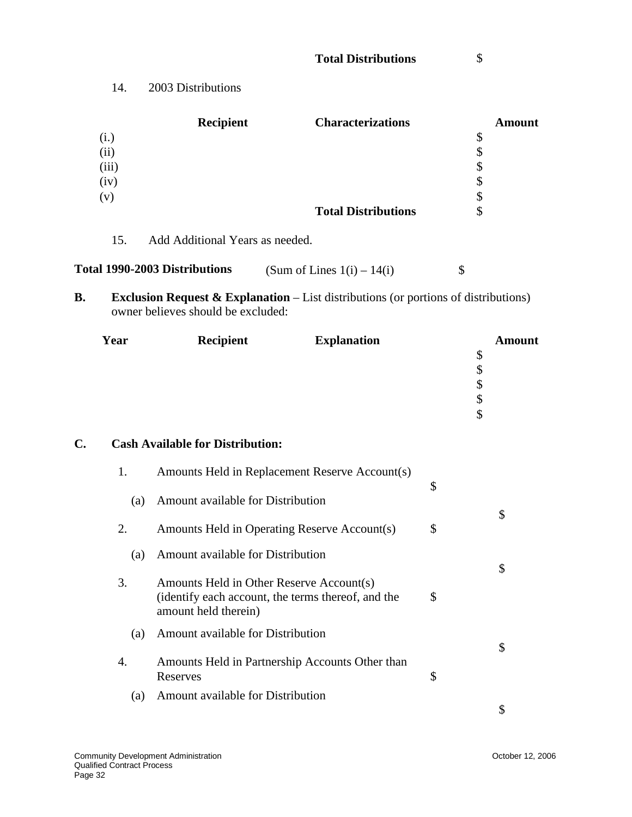|       | <b>Recipient</b> | <b>Characterizations</b>   | <b>Amount</b> |
|-------|------------------|----------------------------|---------------|
| (i.)  |                  |                            | \$            |
| (ii)  |                  |                            | \$            |
| (iii) |                  |                            | \$            |
| (iv)  |                  |                            | \$            |
| (v)   |                  |                            | \$            |
|       |                  | <b>Total Distributions</b> | \$            |
|       |                  |                            |               |

15. Add Additional Years as needed.

| Total 1990-2003 Distributions | (Sum of Lines $1(i) - 14(i)$ ) |  |
|-------------------------------|--------------------------------|--|
|-------------------------------|--------------------------------|--|

**B.** Exclusion Request & Explanation – List distributions (or portions of distributions) owner believes should be excluded:

| Year | Recipient | <b>Explanation</b> | <b>Amount</b> |
|------|-----------|--------------------|---------------|
|      |           |                    | Φ             |
|      |           |                    | \$            |
|      |           |                    |               |
|      |           |                    | Φ             |
|      |           |                    | \$            |
|      |           |                    |               |

### **C. Cash Available for Distribution:**

| 1.  | Amounts Held in Replacement Reserve Account(s)                                                                         | \$ |
|-----|------------------------------------------------------------------------------------------------------------------------|----|
| (a) | Amount available for Distribution                                                                                      |    |
| 2.  | Amounts Held in Operating Reserve Account(s)                                                                           | \$ |
| (a) | Amount available for Distribution                                                                                      |    |
| 3.  | Amounts Held in Other Reserve Account(s)<br>(identify each account, the terms thereof, and the<br>amount held therein) | \$ |
| (a) | Amount available for Distribution                                                                                      | \$ |
| 4.  | Amounts Held in Partnership Accounts Other than<br>Reserves                                                            | \$ |
| (a) | Amount available for Distribution                                                                                      |    |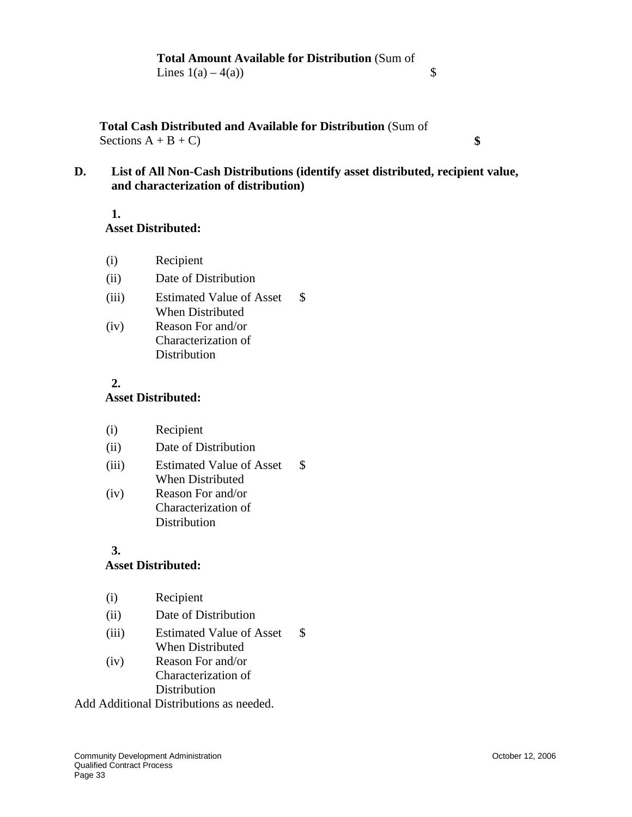**Total Cash Distributed and Available for Distribution** (Sum of Sections  $A + B + C$ ) **\$** 

**D. List of All Non-Cash Distributions (identify asset distributed, recipient value, and characterization of distribution)**

#### **1. Asset Distributed:**

- (i) Recipient
- (ii) Date of Distribution
- (iii) Estimated Value of Asset When Distributed \$
- (iv) Reason For and/or Characterization of **Distribution**

#### **2. Asset Distributed:**

| (i) | Recipient |  |
|-----|-----------|--|
|-----|-----------|--|

- (ii) Date of Distribution
- (iii) Estimated Value of Asset When Distributed \$
- (iv) Reason For and/or Characterization of Distribution

#### **3.**

#### **Asset Distributed:**

- (i) Recipient
- (ii) Date of Distribution
- (iii) Estimated Value of Asset When Distributed \$
- (iv) Reason For and/or Characterization of **Distribution**

Add Additional Distributions as needed.